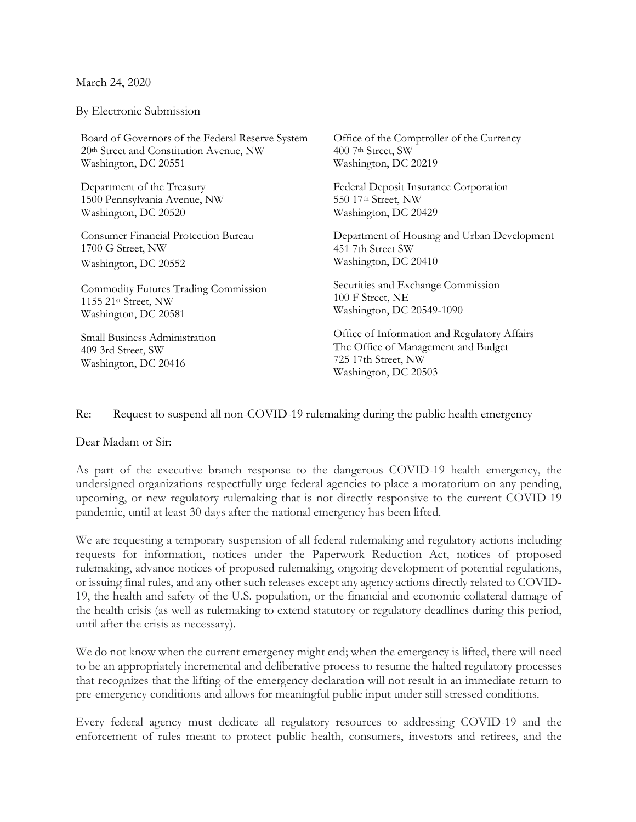## March 24, 2020

## By Electronic Submission

Board of Governors of the Federal Reserve System 20th Street and Constitution Avenue, NW Washington, DC 20551

Department of the Treasury 1500 Pennsylvania Avenue, NW Washington, DC 20520

Consumer Financial Protection Bureau 1700 G Street, NW Washington, DC 20552

Commodity Futures Trading Commission 1155 21st Street, NW Washington, DC 20581

Small Business Administration 409 3rd Street, SW Washington, DC 20416

Office of the Comptroller of the Currency 400 7th Street, SW Washington, DC 20219

Federal Deposit Insurance Corporation 550 17th Street, NW Washington, DC 20429

Department of Housing and Urban Development 451 7th Street SW Washington, DC 20410

Securities and Exchange Commission 100 F Street, NE Washington, DC 20549-1090

Office of Information and Regulatory Affairs The Office of Management and Budget 725 17th Street, NW Washington, DC 20503

Re: Request to suspend all non-COVID-19 rulemaking during the public health emergency

## Dear Madam or Sir:

As part of the executive branch response to the dangerous COVID-19 health emergency, the undersigned organizations respectfully urge federal agencies to place a moratorium on any pending, upcoming, or new regulatory rulemaking that is not directly responsive to the current COVID-19 pandemic, until at least 30 days after the national emergency has been lifted.

We are requesting a temporary suspension of all federal rulemaking and regulatory actions including requests for information, notices under the Paperwork Reduction Act, notices of proposed rulemaking, advance notices of proposed rulemaking, ongoing development of potential regulations, or issuing final rules, and any other such releases except any agency actions directly related to COVID-19, the health and safety of the U.S. population, or the financial and economic collateral damage of the health crisis (as well as rulemaking to extend statutory or regulatory deadlines during this period, until after the crisis as necessary).

We do not know when the current emergency might end; when the emergency is lifted, there will need to be an appropriately incremental and deliberative process to resume the halted regulatory processes that recognizes that the lifting of the emergency declaration will not result in an immediate return to pre-emergency conditions and allows for meaningful public input under still stressed conditions.

Every federal agency must dedicate all regulatory resources to addressing COVID-19 and the enforcement of rules meant to protect public health, consumers, investors and retirees, and the